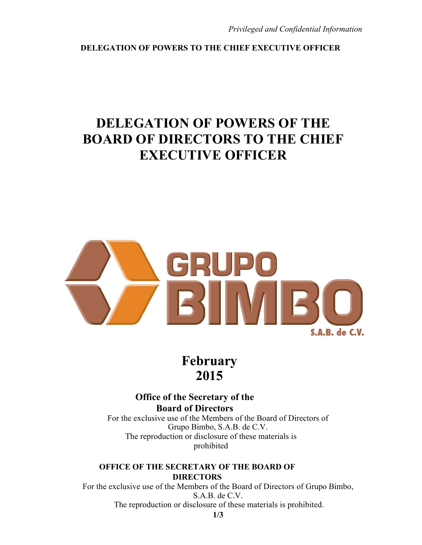**DELEGATION OF POWERS TO THE CHIEF EXECUTIVE OFFICER**

# **DELEGATION OF POWERS OF THE BOARD OF DIRECTORS TO THE CHIEF EXECUTIVE OFFICER**



**February 2015**

**Office of the Secretary of the Board of Directors**  For the exclusive use of the Members of the Board of Directors of

Grupo Bimbo, S.A.B. de C.V. The reproduction or disclosure of these materials is prohibited

**OFFICE OF THE SECRETARY OF THE BOARD OF DIRECTORS** 

For the exclusive use of the Members of the Board of Directors of Grupo Bimbo, S.A.B. de C.V. The reproduction or disclosure of these materials is prohibited.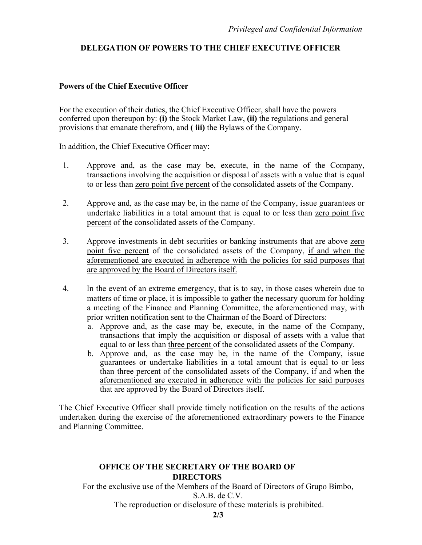## **DELEGATION OF POWERS TO THE CHIEF EXECUTIVE OFFICER**

#### **Powers of the Chief Executive Officer**

For the execution of their duties, the Chief Executive Officer, shall have the powers conferred upon thereupon by: **(i)** the Stock Market Law, **(ii)** the regulations and general provisions that emanate therefrom, and **( iii)** the Bylaws of the Company.

In addition, the Chief Executive Officer may:

- 1. Approve and, as the case may be, execute, in the name of the Company, transactions involving the acquisition or disposal of assets with a value that is equal to or less than zero point five percent of the consolidated assets of the Company.
- 2. Approve and, as the case may be, in the name of the Company, issue guarantees or undertake liabilities in a total amount that is equal to or less than zero point five percent of the consolidated assets of the Company.
- 3. Approve investments in debt securities or banking instruments that are above zero point five percent of the consolidated assets of the Company, if and when the aforementioned are executed in adherence with the policies for said purposes that are approved by the Board of Directors itself.
- 4. In the event of an extreme emergency, that is to say, in those cases wherein due to matters of time or place, it is impossible to gather the necessary quorum for holding a meeting of the Finance and Planning Committee, the aforementioned may, with prior written notification sent to the Chairman of the Board of Directors:
	- a. Approve and, as the case may be, execute, in the name of the Company, transactions that imply the acquisition or disposal of assets with a value that equal to or less than three percent of the consolidated assets of the Company.
	- b. Approve and, as the case may be, in the name of the Company, issue guarantees or undertake liabilities in a total amount that is equal to or less than three percent of the consolidated assets of the Company, if and when the aforementioned are executed in adherence with the policies for said purposes that are approved by the Board of Directors itself.

The Chief Executive Officer shall provide timely notification on the results of the actions undertaken during the exercise of the aforementioned extraordinary powers to the Finance and Planning Committee.

### **OFFICE OF THE SECRETARY OF THE BOARD OF DIRECTORS**

For the exclusive use of the Members of the Board of Directors of Grupo Bimbo, S.A.B. de C.V.

The reproduction or disclosure of these materials is prohibited.